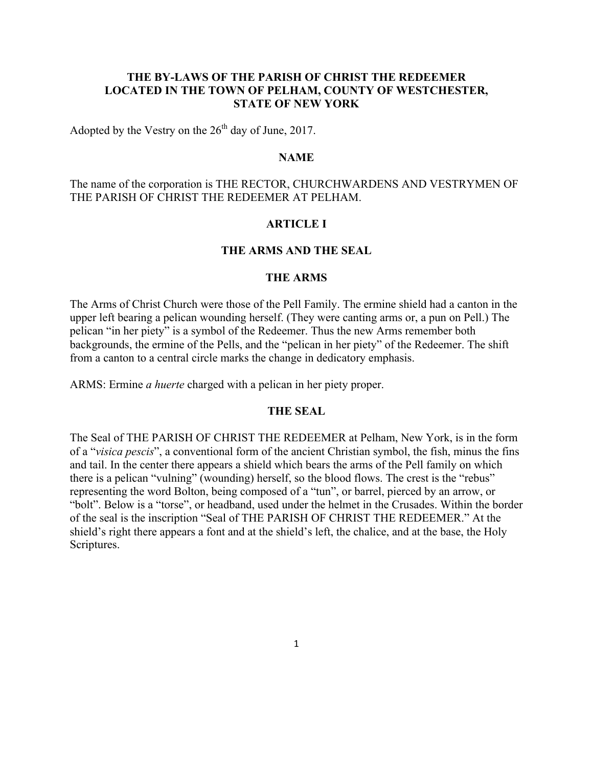# **THE BY-LAWS OF THE PARISH OF CHRIST THE REDEEMER LOCATED IN THE TOWN OF PELHAM, COUNTY OF WESTCHESTER, STATE OF NEW YORK**

Adopted by the Vestry on the  $26<sup>th</sup>$  day of June, 2017.

### **NAME**

The name of the corporation is THE RECTOR, CHURCHWARDENS AND VESTRYMEN OF THE PARISH OF CHRIST THE REDEEMER AT PELHAM.

# **ARTICLE I**

### **THE ARMS AND THE SEAL**

# **THE ARMS**

The Arms of Christ Church were those of the Pell Family. The ermine shield had a canton in the upper left bearing a pelican wounding herself. (They were canting arms or, a pun on Pell.) The pelican "in her piety" is a symbol of the Redeemer. Thus the new Arms remember both backgrounds, the ermine of the Pells, and the "pelican in her piety" of the Redeemer. The shift from a canton to a central circle marks the change in dedicatory emphasis.

ARMS: Ermine *a huerte* charged with a pelican in her piety proper.

### **THE SEAL**

The Seal of THE PARISH OF CHRIST THE REDEEMER at Pelham, New York, is in the form of a "*visica pescis*", a conventional form of the ancient Christian symbol, the fish, minus the fins and tail. In the center there appears a shield which bears the arms of the Pell family on which there is a pelican "vulning" (wounding) herself, so the blood flows. The crest is the "rebus" representing the word Bolton, being composed of a "tun", or barrel, pierced by an arrow, or "bolt". Below is a "torse", or headband, used under the helmet in the Crusades. Within the border of the seal is the inscription "Seal of THE PARISH OF CHRIST THE REDEEMER." At the shield's right there appears a font and at the shield's left, the chalice, and at the base, the Holy Scriptures.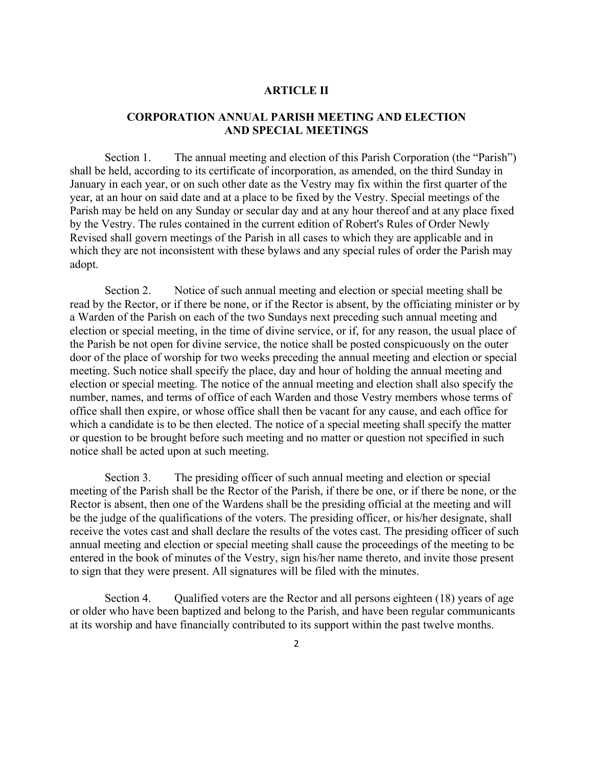# **ARTICLE II**

# **CORPORATION ANNUAL PARISH MEETING AND ELECTION AND SPECIAL MEETINGS**

Section 1. The annual meeting and election of this Parish Corporation (the "Parish") shall be held, according to its certificate of incorporation, as amended, on the third Sunday in January in each year, or on such other date as the Vestry may fix within the first quarter of the year, at an hour on said date and at a place to be fixed by the Vestry. Special meetings of the Parish may be held on any Sunday or secular day and at any hour thereof and at any place fixed by the Vestry. The rules contained in the current edition of Robert's Rules of Order Newly Revised shall govern meetings of the Parish in all cases to which they are applicable and in which they are not inconsistent with these bylaws and any special rules of order the Parish may adopt.

Section 2. Notice of such annual meeting and election or special meeting shall be read by the Rector, or if there be none, or if the Rector is absent, by the officiating minister or by a Warden of the Parish on each of the two Sundays next preceding such annual meeting and election or special meeting, in the time of divine service, or if, for any reason, the usual place of the Parish be not open for divine service, the notice shall be posted conspicuously on the outer door of the place of worship for two weeks preceding the annual meeting and election or special meeting. Such notice shall specify the place, day and hour of holding the annual meeting and election or special meeting. The notice of the annual meeting and election shall also specify the number, names, and terms of office of each Warden and those Vestry members whose terms of office shall then expire, or whose office shall then be vacant for any cause, and each office for which a candidate is to be then elected. The notice of a special meeting shall specify the matter or question to be brought before such meeting and no matter or question not specified in such notice shall be acted upon at such meeting.

Section 3. The presiding officer of such annual meeting and election or special meeting of the Parish shall be the Rector of the Parish, if there be one, or if there be none, or the Rector is absent, then one of the Wardens shall be the presiding official at the meeting and will be the judge of the qualifications of the voters. The presiding officer, or his/her designate, shall receive the votes cast and shall declare the results of the votes cast. The presiding officer of such annual meeting and election or special meeting shall cause the proceedings of the meeting to be entered in the book of minutes of the Vestry, sign his/her name thereto, and invite those present to sign that they were present. All signatures will be filed with the minutes.

Section 4. Qualified voters are the Rector and all persons eighteen (18) years of age or older who have been baptized and belong to the Parish, and have been regular communicants at its worship and have financially contributed to its support within the past twelve months.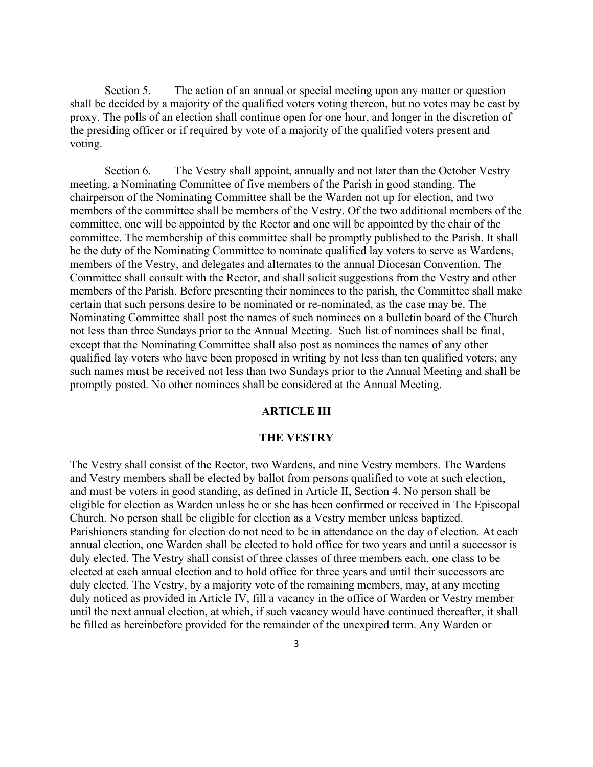Section 5. The action of an annual or special meeting upon any matter or question shall be decided by a majority of the qualified voters voting thereon, but no votes may be cast by proxy. The polls of an election shall continue open for one hour, and longer in the discretion of the presiding officer or if required by vote of a majority of the qualified voters present and voting.

Section 6. The Vestry shall appoint, annually and not later than the October Vestry meeting, a Nominating Committee of five members of the Parish in good standing. The chairperson of the Nominating Committee shall be the Warden not up for election, and two members of the committee shall be members of the Vestry. Of the two additional members of the committee, one will be appointed by the Rector and one will be appointed by the chair of the committee. The membership of this committee shall be promptly published to the Parish. It shall be the duty of the Nominating Committee to nominate qualified lay voters to serve as Wardens, members of the Vestry, and delegates and alternates to the annual Diocesan Convention. The Committee shall consult with the Rector, and shall solicit suggestions from the Vestry and other members of the Parish. Before presenting their nominees to the parish, the Committee shall make certain that such persons desire to be nominated or re-nominated, as the case may be. The Nominating Committee shall post the names of such nominees on a bulletin board of the Church not less than three Sundays prior to the Annual Meeting. Such list of nominees shall be final, except that the Nominating Committee shall also post as nominees the names of any other qualified lay voters who have been proposed in writing by not less than ten qualified voters; any such names must be received not less than two Sundays prior to the Annual Meeting and shall be promptly posted. No other nominees shall be considered at the Annual Meeting.

# **ARTICLE III**

#### **THE VESTRY**

The Vestry shall consist of the Rector, two Wardens, and nine Vestry members. The Wardens and Vestry members shall be elected by ballot from persons qualified to vote at such election, and must be voters in good standing, as defined in Article II, Section 4. No person shall be eligible for election as Warden unless he or she has been confirmed or received in The Episcopal Church. No person shall be eligible for election as a Vestry member unless baptized. Parishioners standing for election do not need to be in attendance on the day of election. At each annual election, one Warden shall be elected to hold office for two years and until a successor is duly elected. The Vestry shall consist of three classes of three members each, one class to be elected at each annual election and to hold office for three years and until their successors are duly elected. The Vestry, by a majority vote of the remaining members, may, at any meeting duly noticed as provided in Article IV, fill a vacancy in the office of Warden or Vestry member until the next annual election, at which, if such vacancy would have continued thereafter, it shall be filled as hereinbefore provided for the remainder of the unexpired term. Any Warden or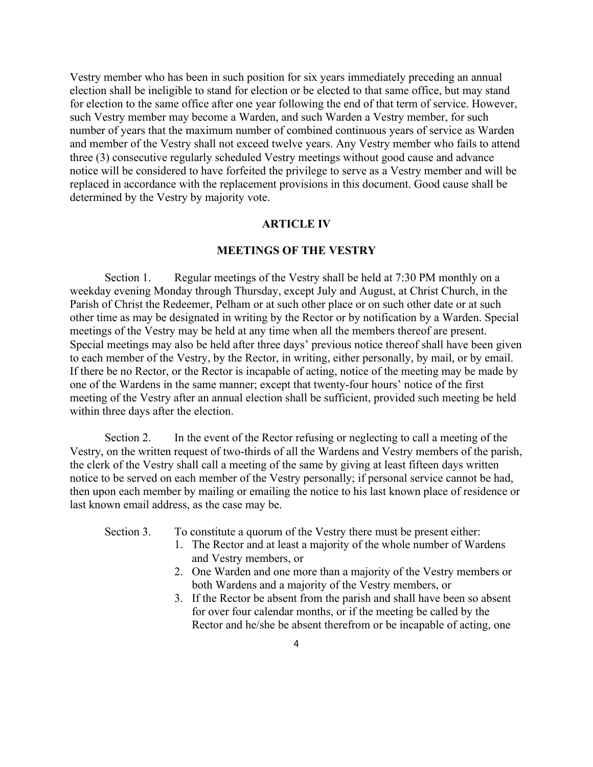Vestry member who has been in such position for six years immediately preceding an annual election shall be ineligible to stand for election or be elected to that same office, but may stand for election to the same office after one year following the end of that term of service. However, such Vestry member may become a Warden, and such Warden a Vestry member, for such number of years that the maximum number of combined continuous years of service as Warden and member of the Vestry shall not exceed twelve years. Any Vestry member who fails to attend three (3) consecutive regularly scheduled Vestry meetings without good cause and advance notice will be considered to have forfeited the privilege to serve as a Vestry member and will be replaced in accordance with the replacement provisions in this document. Good cause shall be determined by the Vestry by majority vote.

# **ARTICLE IV**

# **MEETINGS OF THE VESTRY**

Section 1. Regular meetings of the Vestry shall be held at 7:30 PM monthly on a weekday evening Monday through Thursday, except July and August, at Christ Church, in the Parish of Christ the Redeemer, Pelham or at such other place or on such other date or at such other time as may be designated in writing by the Rector or by notification by a Warden. Special meetings of the Vestry may be held at any time when all the members thereof are present. Special meetings may also be held after three days' previous notice thereof shall have been given to each member of the Vestry, by the Rector, in writing, either personally, by mail, or by email. If there be no Rector, or the Rector is incapable of acting, notice of the meeting may be made by one of the Wardens in the same manner; except that twenty-four hours' notice of the first meeting of the Vestry after an annual election shall be sufficient, provided such meeting be held within three days after the election.

Section 2. In the event of the Rector refusing or neglecting to call a meeting of the Vestry, on the written request of two-thirds of all the Wardens and Vestry members of the parish, the clerk of the Vestry shall call a meeting of the same by giving at least fifteen days written notice to be served on each member of the Vestry personally; if personal service cannot be had, then upon each member by mailing or emailing the notice to his last known place of residence or last known email address, as the case may be.

Section 3. To constitute a quorum of the Vestry there must be present either:

- 1. The Rector and at least a majority of the whole number of Wardens and Vestry members, or
- 2. One Warden and one more than a majority of the Vestry members or both Wardens and a majority of the Vestry members, or
- 3. If the Rector be absent from the parish and shall have been so absent for over four calendar months, or if the meeting be called by the Rector and he/she be absent therefrom or be incapable of acting, one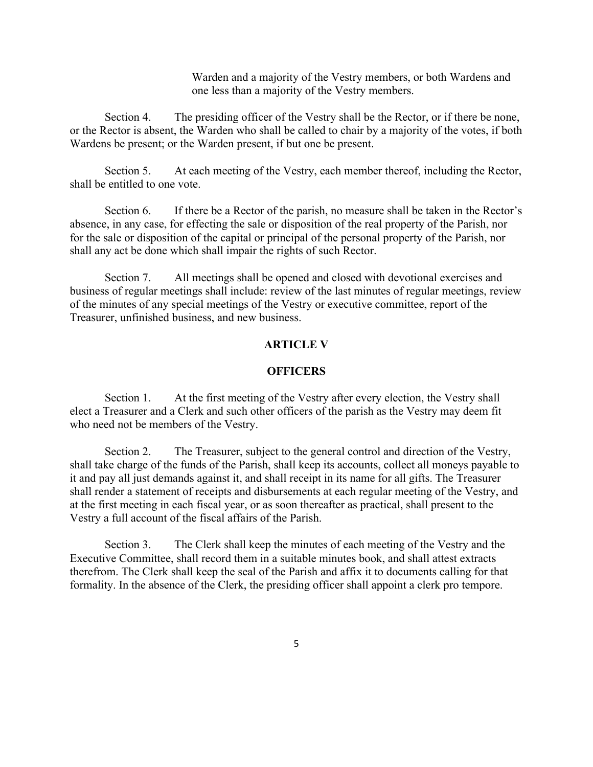Warden and a majority of the Vestry members, or both Wardens and one less than a majority of the Vestry members.

Section 4. The presiding officer of the Vestry shall be the Rector, or if there be none, or the Rector is absent, the Warden who shall be called to chair by a majority of the votes, if both Wardens be present; or the Warden present, if but one be present.

Section 5. At each meeting of the Vestry, each member thereof, including the Rector, shall be entitled to one vote.

Section 6. If there be a Rector of the parish, no measure shall be taken in the Rector's absence, in any case, for effecting the sale or disposition of the real property of the Parish, nor for the sale or disposition of the capital or principal of the personal property of the Parish, nor shall any act be done which shall impair the rights of such Rector.

Section 7. All meetings shall be opened and closed with devotional exercises and business of regular meetings shall include: review of the last minutes of regular meetings, review of the minutes of any special meetings of the Vestry or executive committee, report of the Treasurer, unfinished business, and new business.

### **ARTICLE V**

#### **OFFICERS**

Section 1. At the first meeting of the Vestry after every election, the Vestry shall elect a Treasurer and a Clerk and such other officers of the parish as the Vestry may deem fit who need not be members of the Vestry.

Section 2. The Treasurer, subject to the general control and direction of the Vestry, shall take charge of the funds of the Parish, shall keep its accounts, collect all moneys payable to it and pay all just demands against it, and shall receipt in its name for all gifts. The Treasurer shall render a statement of receipts and disbursements at each regular meeting of the Vestry, and at the first meeting in each fiscal year, or as soon thereafter as practical, shall present to the Vestry a full account of the fiscal affairs of the Parish.

Section 3. The Clerk shall keep the minutes of each meeting of the Vestry and the Executive Committee, shall record them in a suitable minutes book, and shall attest extracts therefrom. The Clerk shall keep the seal of the Parish and affix it to documents calling for that formality. In the absence of the Clerk, the presiding officer shall appoint a clerk pro tempore.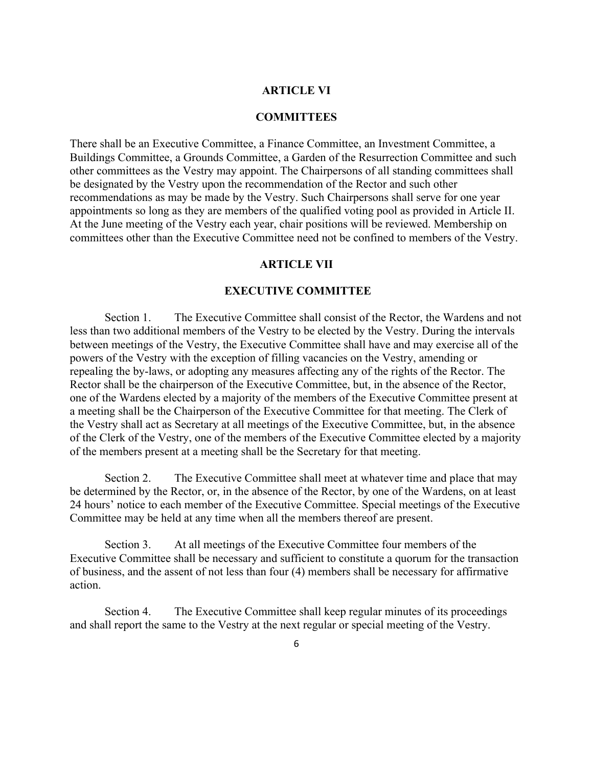### **ARTICLE VI**

### **COMMITTEES**

There shall be an Executive Committee, a Finance Committee, an Investment Committee, a Buildings Committee, a Grounds Committee, a Garden of the Resurrection Committee and such other committees as the Vestry may appoint. The Chairpersons of all standing committees shall be designated by the Vestry upon the recommendation of the Rector and such other recommendations as may be made by the Vestry. Such Chairpersons shall serve for one year appointments so long as they are members of the qualified voting pool as provided in Article II. At the June meeting of the Vestry each year, chair positions will be reviewed. Membership on committees other than the Executive Committee need not be confined to members of the Vestry.

#### **ARTICLE VII**

#### **EXECUTIVE COMMITTEE**

Section 1. The Executive Committee shall consist of the Rector, the Wardens and not less than two additional members of the Vestry to be elected by the Vestry. During the intervals between meetings of the Vestry, the Executive Committee shall have and may exercise all of the powers of the Vestry with the exception of filling vacancies on the Vestry, amending or repealing the by-laws, or adopting any measures affecting any of the rights of the Rector. The Rector shall be the chairperson of the Executive Committee, but, in the absence of the Rector, one of the Wardens elected by a majority of the members of the Executive Committee present at a meeting shall be the Chairperson of the Executive Committee for that meeting. The Clerk of the Vestry shall act as Secretary at all meetings of the Executive Committee, but, in the absence of the Clerk of the Vestry, one of the members of the Executive Committee elected by a majority of the members present at a meeting shall be the Secretary for that meeting.

Section 2. The Executive Committee shall meet at whatever time and place that may be determined by the Rector, or, in the absence of the Rector, by one of the Wardens, on at least 24 hours' notice to each member of the Executive Committee. Special meetings of the Executive Committee may be held at any time when all the members thereof are present.

Section 3. At all meetings of the Executive Committee four members of the Executive Committee shall be necessary and sufficient to constitute a quorum for the transaction of business, and the assent of not less than four (4) members shall be necessary for affirmative action.

Section 4. The Executive Committee shall keep regular minutes of its proceedings and shall report the same to the Vestry at the next regular or special meeting of the Vestry.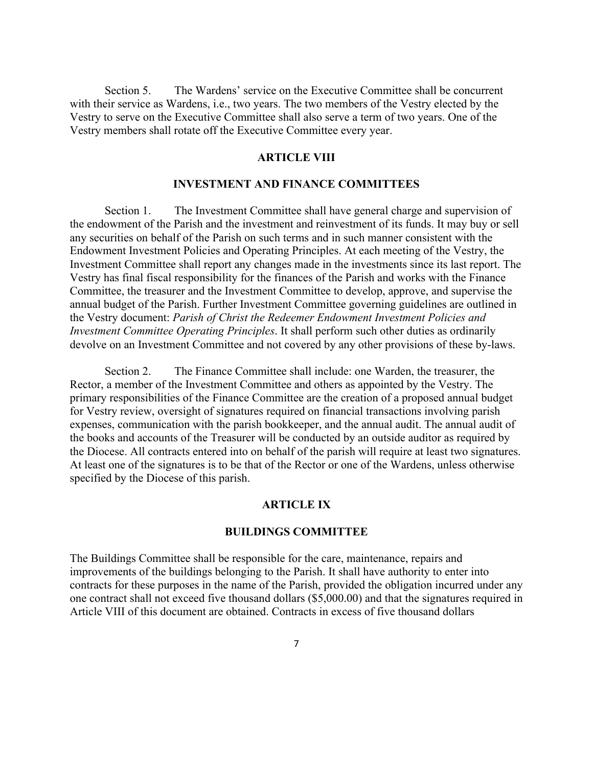Section 5. The Wardens' service on the Executive Committee shall be concurrent with their service as Wardens, i.e., two years. The two members of the Vestry elected by the Vestry to serve on the Executive Committee shall also serve a term of two years. One of the Vestry members shall rotate off the Executive Committee every year.

### **ARTICLE VIII**

#### **INVESTMENT AND FINANCE COMMITTEES**

Section 1. The Investment Committee shall have general charge and supervision of the endowment of the Parish and the investment and reinvestment of its funds. It may buy or sell any securities on behalf of the Parish on such terms and in such manner consistent with the Endowment Investment Policies and Operating Principles. At each meeting of the Vestry, the Investment Committee shall report any changes made in the investments since its last report. The Vestry has final fiscal responsibility for the finances of the Parish and works with the Finance Committee, the treasurer and the Investment Committee to develop, approve, and supervise the annual budget of the Parish. Further Investment Committee governing guidelines are outlined in the Vestry document: *Parish of Christ the Redeemer Endowment Investment Policies and Investment Committee Operating Principles*. It shall perform such other duties as ordinarily devolve on an Investment Committee and not covered by any other provisions of these by-laws.

Section 2. The Finance Committee shall include: one Warden, the treasurer, the Rector, a member of the Investment Committee and others as appointed by the Vestry. The primary responsibilities of the Finance Committee are the creation of a proposed annual budget for Vestry review, oversight of signatures required on financial transactions involving parish expenses, communication with the parish bookkeeper, and the annual audit. The annual audit of the books and accounts of the Treasurer will be conducted by an outside auditor as required by the Diocese. All contracts entered into on behalf of the parish will require at least two signatures. At least one of the signatures is to be that of the Rector or one of the Wardens, unless otherwise specified by the Diocese of this parish.

#### **ARTICLE IX**

#### **BUILDINGS COMMITTEE**

The Buildings Committee shall be responsible for the care, maintenance, repairs and improvements of the buildings belonging to the Parish. It shall have authority to enter into contracts for these purposes in the name of the Parish, provided the obligation incurred under any one contract shall not exceed five thousand dollars (\$5,000.00) and that the signatures required in Article VIII of this document are obtained. Contracts in excess of five thousand dollars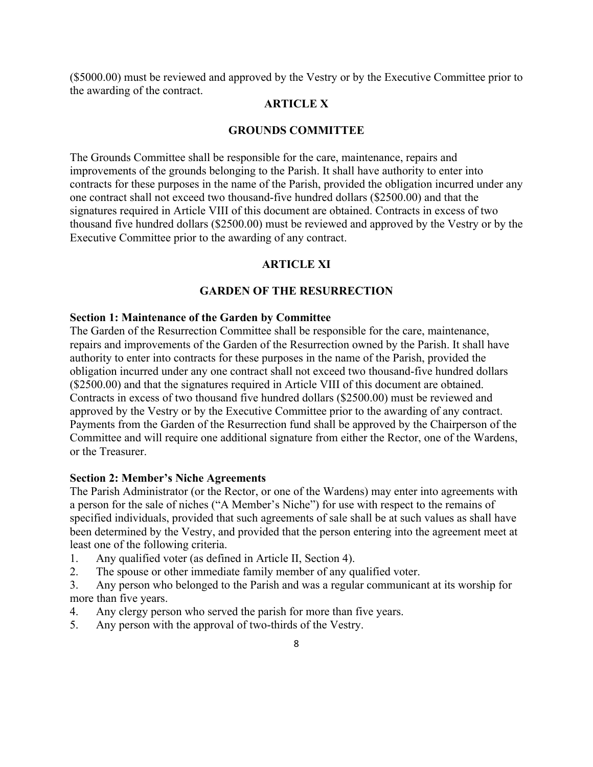(\$5000.00) must be reviewed and approved by the Vestry or by the Executive Committee prior to the awarding of the contract.

# **ARTICLE X**

### **GROUNDS COMMITTEE**

The Grounds Committee shall be responsible for the care, maintenance, repairs and improvements of the grounds belonging to the Parish. It shall have authority to enter into contracts for these purposes in the name of the Parish, provided the obligation incurred under any one contract shall not exceed two thousand-five hundred dollars (\$2500.00) and that the signatures required in Article VIII of this document are obtained. Contracts in excess of two thousand five hundred dollars (\$2500.00) must be reviewed and approved by the Vestry or by the Executive Committee prior to the awarding of any contract.

### **ARTICLE XI**

### **GARDEN OF THE RESURRECTION**

### **Section 1: Maintenance of the Garden by Committee**

The Garden of the Resurrection Committee shall be responsible for the care, maintenance, repairs and improvements of the Garden of the Resurrection owned by the Parish. It shall have authority to enter into contracts for these purposes in the name of the Parish, provided the obligation incurred under any one contract shall not exceed two thousand-five hundred dollars (\$2500.00) and that the signatures required in Article VIII of this document are obtained. Contracts in excess of two thousand five hundred dollars (\$2500.00) must be reviewed and approved by the Vestry or by the Executive Committee prior to the awarding of any contract. Payments from the Garden of the Resurrection fund shall be approved by the Chairperson of the Committee and will require one additional signature from either the Rector, one of the Wardens, or the Treasurer.

#### **Section 2: Member's Niche Agreements**

The Parish Administrator (or the Rector, or one of the Wardens) may enter into agreements with a person for the sale of niches ("A Member's Niche") for use with respect to the remains of specified individuals, provided that such agreements of sale shall be at such values as shall have been determined by the Vestry, and provided that the person entering into the agreement meet at least one of the following criteria.

- 1. Any qualified voter (as defined in Article II, Section 4).
- 2. The spouse or other immediate family member of any qualified voter.
- 3. Any person who belonged to the Parish and was a regular communicant at its worship for more than five years.
- 4. Any clergy person who served the parish for more than five years.
- 5. Any person with the approval of two-thirds of the Vestry.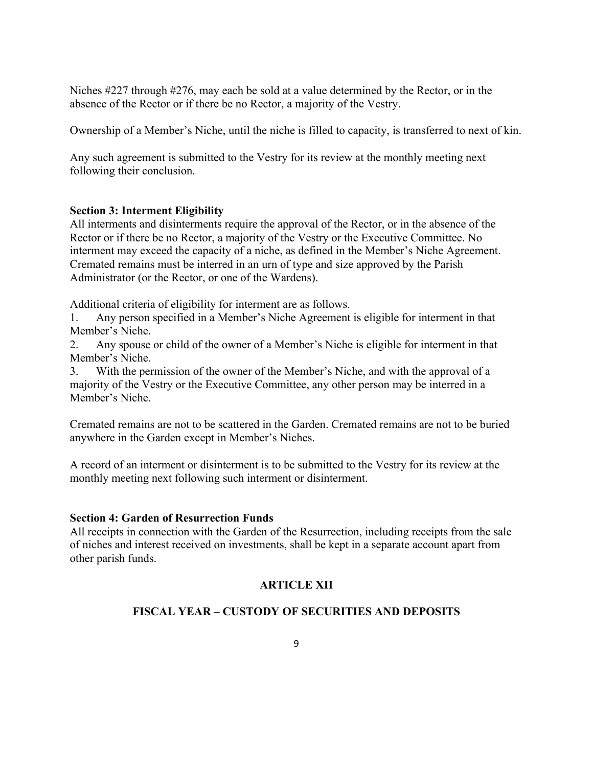Niches #227 through #276, may each be sold at a value determined by the Rector, or in the absence of the Rector or if there be no Rector, a majority of the Vestry.

Ownership of a Member's Niche, until the niche is filled to capacity, is transferred to next of kin.

Any such agreement is submitted to the Vestry for its review at the monthly meeting next following their conclusion.

# **Section 3: Interment Eligibility**

All interments and disinterments require the approval of the Rector, or in the absence of the Rector or if there be no Rector, a majority of the Vestry or the Executive Committee. No interment may exceed the capacity of a niche, as defined in the Member's Niche Agreement. Cremated remains must be interred in an urn of type and size approved by the Parish Administrator (or the Rector, or one of the Wardens).

Additional criteria of eligibility for interment are as follows.

1. Any person specified in a Member's Niche Agreement is eligible for interment in that Member's Niche.

2. Any spouse or child of the owner of a Member's Niche is eligible for interment in that Member's Niche.

3. With the permission of the owner of the Member's Niche, and with the approval of a majority of the Vestry or the Executive Committee, any other person may be interred in a Member's Niche.

Cremated remains are not to be scattered in the Garden. Cremated remains are not to be buried anywhere in the Garden except in Member's Niches.

A record of an interment or disinterment is to be submitted to the Vestry for its review at the monthly meeting next following such interment or disinterment.

# **Section 4: Garden of Resurrection Funds**

All receipts in connection with the Garden of the Resurrection, including receipts from the sale of niches and interest received on investments, shall be kept in a separate account apart from other parish funds.

# **ARTICLE XII**

# **FISCAL YEAR – CUSTODY OF SECURITIES AND DEPOSITS**